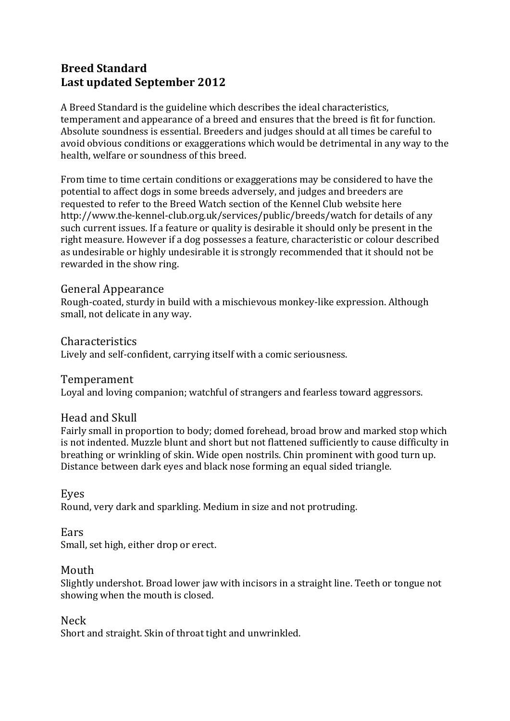# **Breed%Standard Last updated September 2012**

A Breed Standard is the guideline which describes the ideal characteristics, temperament and appearance of a breed and ensures that the breed is fit for function. Absolute soundness is essential. Breeders and judges should at all times be careful to avoid obvious conditions or exaggerations which would be detrimental in any way to the health, welfare or soundness of this breed.

From time to time certain conditions or exaggerations may be considered to have the potential to affect dogs in some breeds adversely, and judges and breeders are requested to refer to the Breed Watch section of the Kennel Club website here http://www.the-kennel-club.org.uk/services/public/breeds/watch for details of any such current issues. If a feature or quality is desirable it should only be present in the right measure. However if a dog possesses a feature, characteristic or colour described as undesirable or highly undesirable it is strongly recommended that it should not be rewarded in the show ring.

#### General Appearance

Rough-coated, sturdy in build with a mischievous monkey-like expression. Although small, not delicate in any way.

Characteristics Lively and self-confident, carrying itself with a comic seriousness.

Temperament

Loyal and loving companion; watchful of strangers and fearless toward aggressors.

#### Head and Skull

Fairly small in proportion to body; domed forehead, broad brow and marked stop which is not indented. Muzzle blunt and short but not flattened sufficiently to cause difficulty in breathing or wrinkling of skin. Wide open nostrils. Chin prominent with good turn up. Distance between dark eyes and black nose forming an equal sided triangle.

Eyes

Round, very dark and sparkling. Medium in size and not protruding.

Ears

Small, set high, either drop or erect.

## Mouth

Slightly undershot. Broad lower jaw with incisors in a straight line. Teeth or tongue not showing when the mouth is closed.

Neck

Short and straight. Skin of throat tight and unwrinkled.